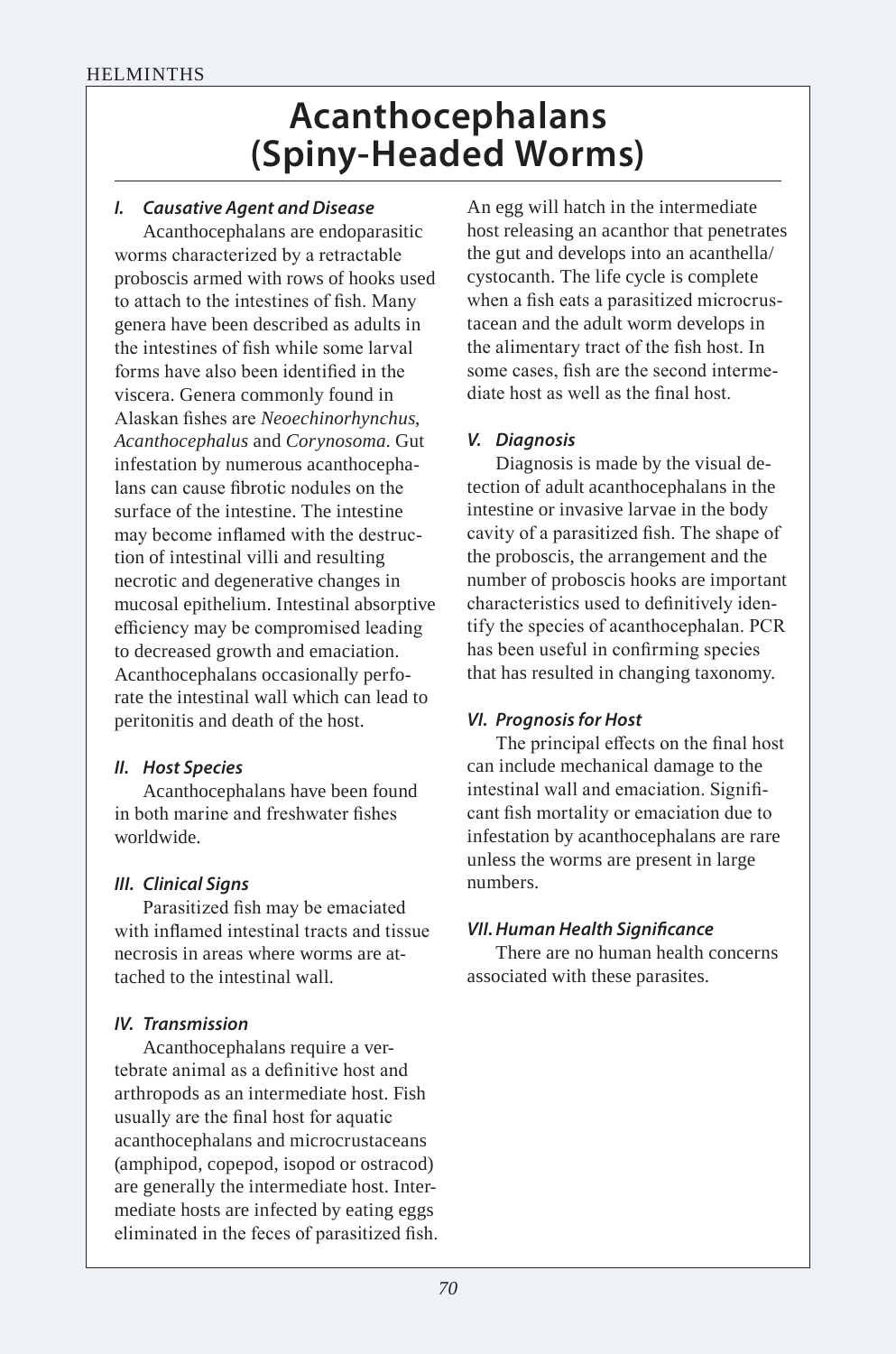# **Acanthocephalans (Spiny-Headed Worms)**

## *I. Causative Agent and Disease*

Acanthocephalans are endoparasitic worms characterized by a retractable proboscis armed with rows of hooks used to attach to the intestines of fish. Many genera have been described as adults in the intestines of fish while some larval forms have also been identified in the viscera. Genera commonly found in Alaskan fishes are *Neoechinorhynchus*, *Acanthocephalus* and *Corynosoma*. Gut infestation by numerous acanthocephalans can cause fibrotic nodules on the surface of the intestine. The intestine may become inflamed with the destruction of intestinal villi and resulting necrotic and degenerative changes in mucosal epithelium. Intestinal absorptive efficiency may be compromised leading to decreased growth and emaciation. Acanthocephalans occasionally perforate the intestinal wall which can lead to peritonitis and death of the host.

## *II. Host Species*

Acanthocephalans have been found in both marine and freshwater fishes worldwide.

## *III. Clinical Signs*

Parasitized fish may be emaciated with inflamed intestinal tracts and tissue necrosis in areas where worms are attached to the intestinal wall.

## *IV. Transmission*

Acanthocephalans require a vertebrate animal as a definitive host and arthropods as an intermediate host. Fish usually are the final host for aquatic acanthocephalans and microcrustaceans (amphipod, copepod, isopod or ostracod) are generally the intermediate host. Intermediate hosts are infected by eating eggs eliminated in the feces of parasitized fish.

An egg will hatch in the intermediate host releasing an acanthor that penetrates the gut and develops into an acanthella/ cystocanth. The life cycle is complete when a fish eats a parasitized microcrustacean and the adult worm develops in the alimentary tract of the fish host. In some cases, fish are the second intermediate host as well as the final host.

## *V. Diagnosis*

Diagnosis is made by the visual detection of adult acanthocephalans in the intestine or invasive larvae in the body cavity of a parasitized fish. The shape of the proboscis, the arrangement and the number of proboscis hooks are important characteristics used to definitively identify the species of acanthocephalan. PCR has been useful in confirming species that has resulted in changing taxonomy.

## *VI. Prognosis for Host*

The principal effects on the final host can include mechanical damage to the intestinal wall and emaciation. Significant fish mortality or emaciation due to infestation by acanthocephalans are rare unless the worms are present in large numbers.

## *VII. Human Health Signifcance*

There are no human health concerns associated with these parasites.